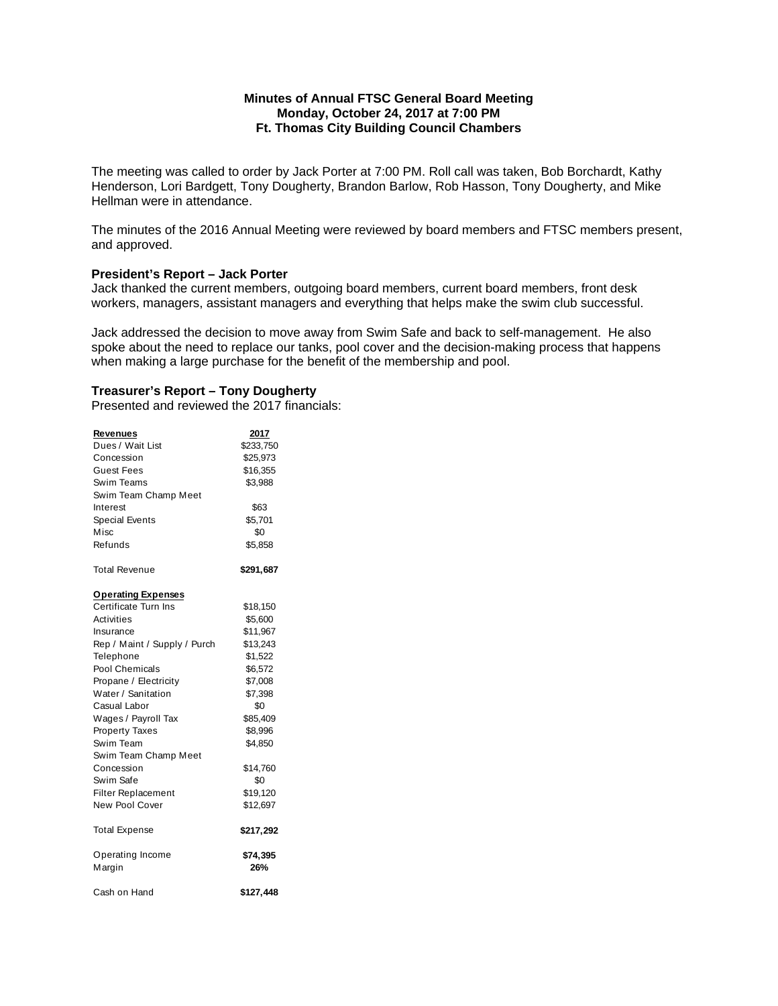## **Minutes of Annual FTSC General Board Meeting Monday, October 24, 2017 at 7:00 PM Ft. Thomas City Building Council Chambers**

The meeting was called to order by Jack Porter at 7:00 PM. Roll call was taken, Bob Borchardt, Kathy Henderson, Lori Bardgett, Tony Dougherty, Brandon Barlow, Rob Hasson, Tony Dougherty, and Mike Hellman were in attendance.

The minutes of the 2016 Annual Meeting were reviewed by board members and FTSC members present, and approved.

#### **President's Report – Jack Porter**

Jack thanked the current members, outgoing board members, current board members, front desk workers, managers, assistant managers and everything that helps make the swim club successful.

Jack addressed the decision to move away from Swim Safe and back to self-management. He also spoke about the need to replace our tanks, pool cover and the decision-making process that happens when making a large purchase for the benefit of the membership and pool.

# **Treasurer's Report – Tony Dougherty**

Presented and reviewed the 2017 financials:

| <b>Revenues</b>              | 2017            |
|------------------------------|-----------------|
| Dues / Wait List             | \$233,750       |
| Concession                   | \$25,973        |
| Guest Fees                   | \$16,355        |
| Swim Teams                   | \$3,988         |
| Swim Team Champ Meet         |                 |
| Interest                     | \$63            |
| <b>Special Events</b>        | \$5,701         |
| Misc                         | \$0             |
| Refunds                      | \$5,858         |
| Total Revenue                | \$291,687       |
| <b>Operating Expenses</b>    |                 |
| Certificate Turn Ins         | \$18,150        |
| Activities                   | \$5,600         |
| Insurance                    | \$11,967        |
| Rep / Maint / Supply / Purch | \$13,243        |
| Telephone                    | \$1,522         |
| Pool Chemicals               | \$6,572         |
| Propane / Electricity        | \$7,008         |
| Water / Sanitation           | \$7,398         |
| Casual Labor                 | \$0             |
| Wages / Payroll Tax          | \$85,409        |
| <b>Property Taxes</b>        | \$8,996         |
| Swim Team                    | \$4,850         |
| Swim Team Champ Meet         |                 |
| Concession                   | \$14,760        |
| Swim Safe                    | \$0             |
| <b>Filter Replacement</b>    | \$19,120        |
| New Pool Cover               | \$12,697        |
| <b>Total Expense</b>         | \$217,292       |
| Operating Income<br>Margin   | \$74,395<br>26% |
| Cash on Hand                 | \$127,448       |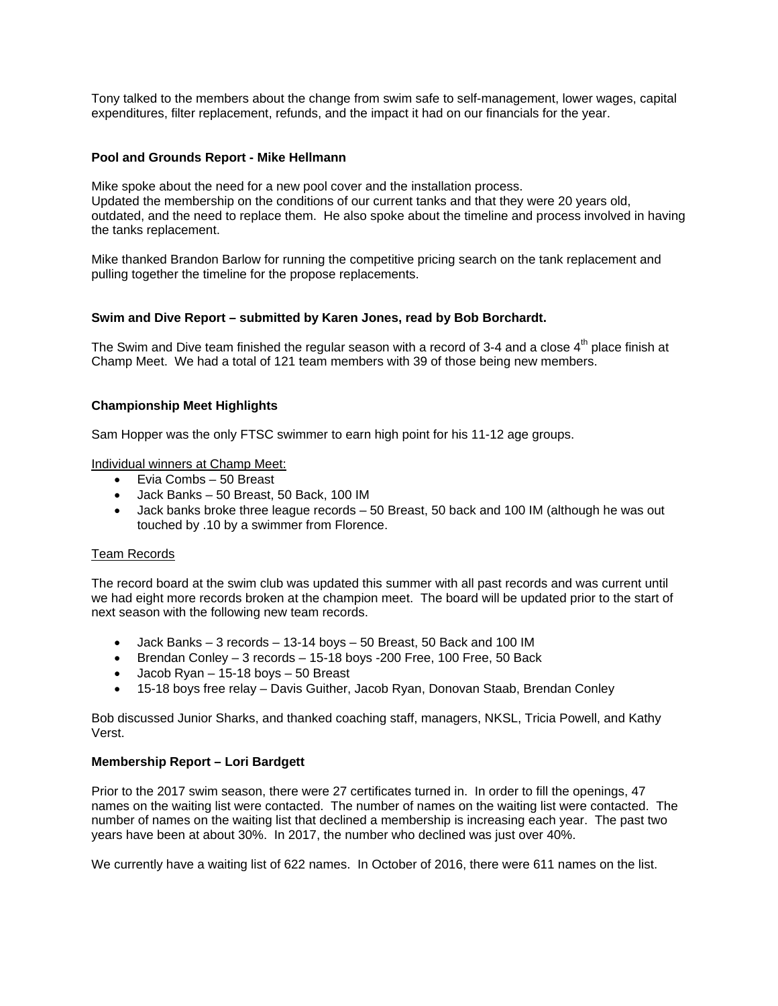Tony talked to the members about the change from swim safe to self-management, lower wages, capital expenditures, filter replacement, refunds, and the impact it had on our financials for the year.

## **Pool and Grounds Report - Mike Hellmann**

Mike spoke about the need for a new pool cover and the installation process. Updated the membership on the conditions of our current tanks and that they were 20 years old, outdated, and the need to replace them. He also spoke about the timeline and process involved in having the tanks replacement.

Mike thanked Brandon Barlow for running the competitive pricing search on the tank replacement and pulling together the timeline for the propose replacements.

# **Swim and Dive Report – submitted by Karen Jones, read by Bob Borchardt.**

The Swim and Dive team finished the regular season with a record of 3-4 and a close  $4<sup>th</sup>$  place finish at Champ Meet. We had a total of 121 team members with 39 of those being new members.

# **Championship Meet Highlights**

Sam Hopper was the only FTSC swimmer to earn high point for his 11-12 age groups.

Individual winners at Champ Meet:

- Evia Combs 50 Breast
- Jack Banks 50 Breast, 50 Back, 100 IM
- Jack banks broke three league records 50 Breast, 50 back and 100 IM (although he was out touched by .10 by a swimmer from Florence.

## Team Records

The record board at the swim club was updated this summer with all past records and was current until we had eight more records broken at the champion meet. The board will be updated prior to the start of next season with the following new team records.

- $\bullet$  Jack Banks 3 records 13-14 boys 50 Breast, 50 Back and 100 IM
- Brendan Conley 3 records 15-18 boys -200 Free, 100 Free, 50 Back
- $\bullet$  Jacob Ryan 15-18 boys 50 Breast
- 15-18 boys free relay Davis Guither, Jacob Ryan, Donovan Staab, Brendan Conley

Bob discussed Junior Sharks, and thanked coaching staff, managers, NKSL, Tricia Powell, and Kathy Verst.

## **Membership Report – Lori Bardgett**

Prior to the 2017 swim season, there were 27 certificates turned in. In order to fill the openings, 47 names on the waiting list were contacted. The number of names on the waiting list were contacted. The number of names on the waiting list that declined a membership is increasing each year. The past two years have been at about 30%. In 2017, the number who declined was just over 40%.

We currently have a waiting list of 622 names. In October of 2016, there were 611 names on the list.